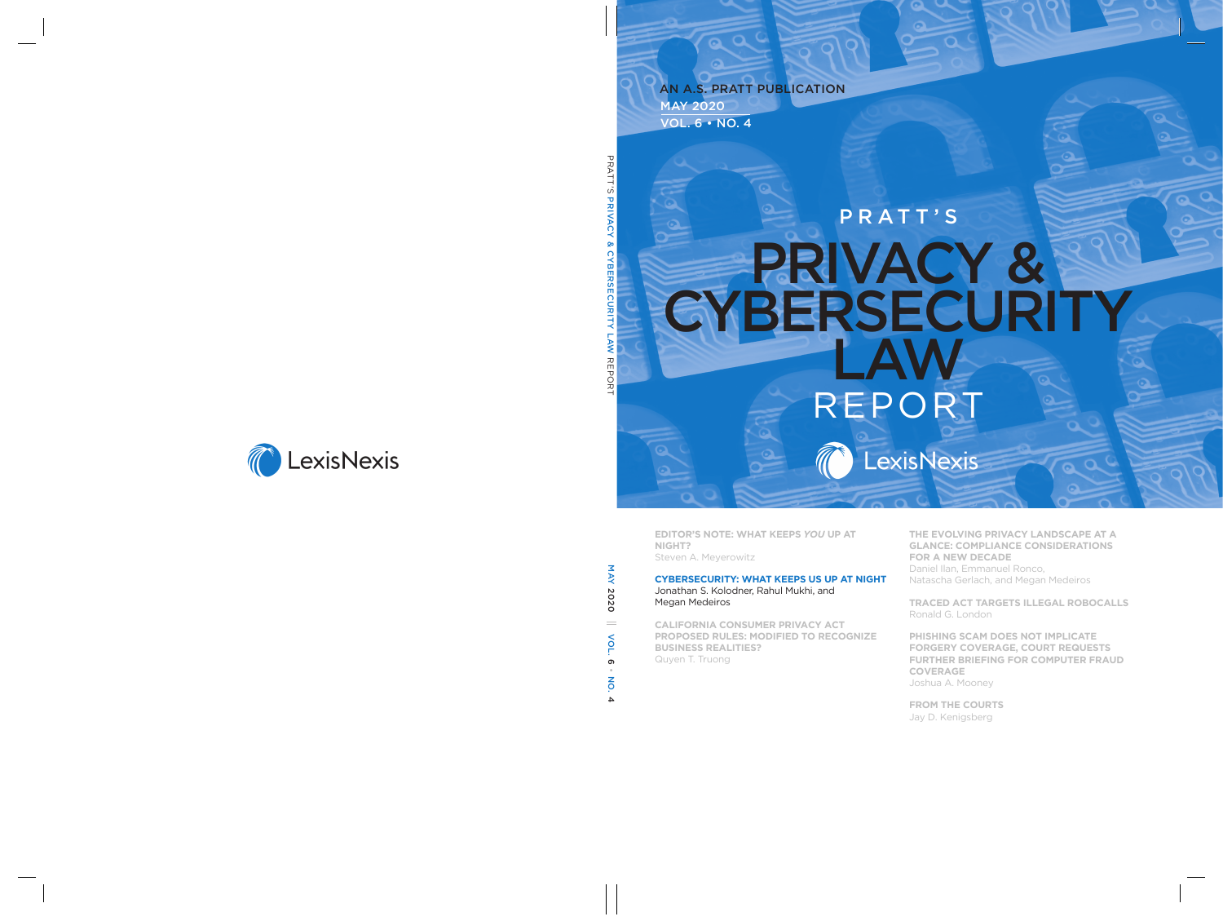#### May 2020  $U. 6 \cdot NO. 4$ An A.S. Pratt Publication

# PRATT'S PRIVACY & **CYBERSECURITY** Law Report **TEXISNEXIS**

**Editor's NotE: What KEEps** *You* **Up at Night?**  Steven A. Meyerowitz

#### **CybErsECUrity: What KEEps Us Up at Night**

Jonathan S. Kolodner, Rahul Mukhi, and Megan Medeiros

**CaliforNia CoNsUmEr privaCy aCt proposEd rUlEs: modifiEd to rECogNizE bUsiNEss rEalitiEs?**  Quyen T. Truong

**thE EvolviNg privaCy laNdsCapE at a glaNCE: CompliaNCE CoNsidEratioNs for a NEW dECadE**  Daniel Ilan, Emmanuel Ronco, Natascha Gerlach, and Megan Medeiros

**traCEd aCt targEts illEgal roboCalls**  Ronald G. London

**phishiNg sCam doEs Not impliCatE forgEry CovEragE, CoUrt rEqUEsts fUrthEr briEfiNg for CompUtEr fraUd CovEragE**  Joshua A. Mooney

**from thE CoUrts**  Jay D. Kenigsberg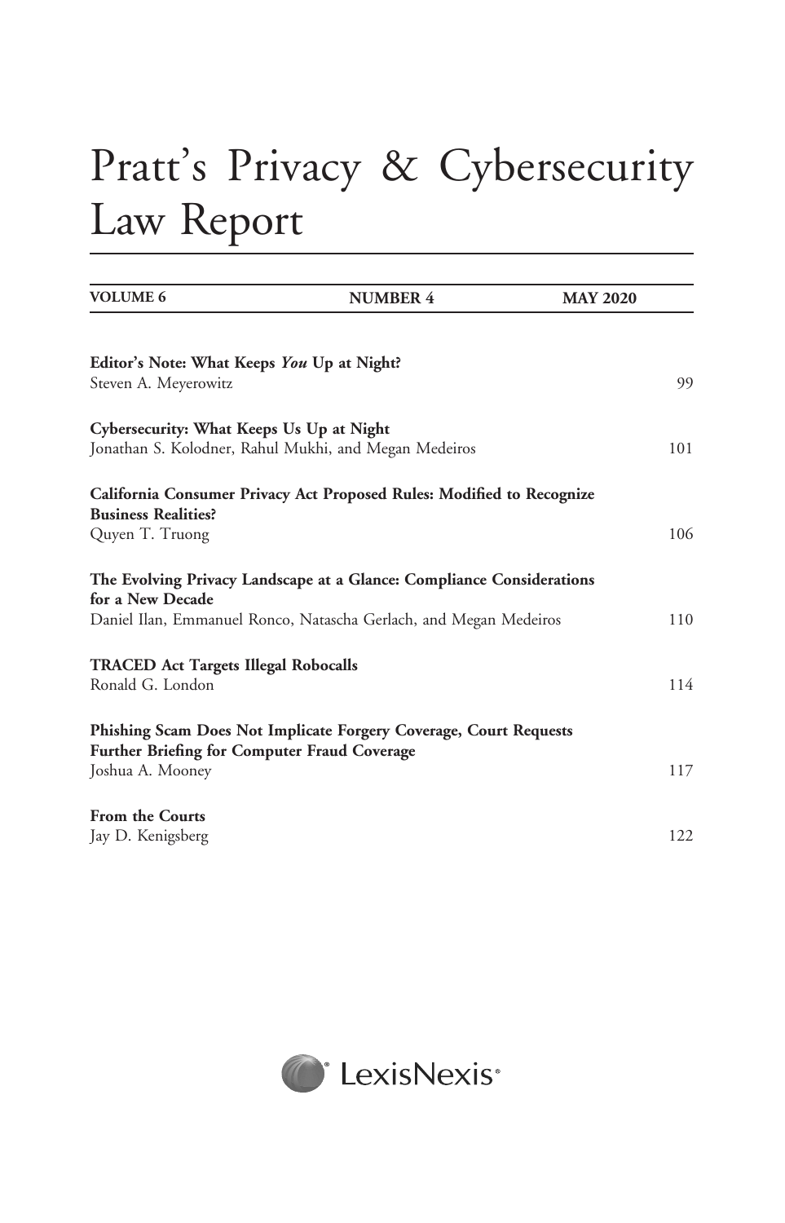## Pratt's Privacy & Cybersecurity Law Report

| <b>VOLUME 6</b>                                                    | <b>NUMBER 4</b>                                                                                                                            | <b>MAY 2020</b> |
|--------------------------------------------------------------------|--------------------------------------------------------------------------------------------------------------------------------------------|-----------------|
| Editor's Note: What Keeps You Up at Night?<br>Steven A. Meyerowitz |                                                                                                                                            | 99              |
| Cybersecurity: What Keeps Us Up at Night                           | Jonathan S. Kolodner, Rahul Mukhi, and Megan Medeiros                                                                                      | 101             |
| <b>Business Realities?</b><br>Quyen T. Truong                      | California Consumer Privacy Act Proposed Rules: Modified to Recognize                                                                      | 106             |
| for a New Decade                                                   | The Evolving Privacy Landscape at a Glance: Compliance Considerations<br>Daniel Ilan, Emmanuel Ronco, Natascha Gerlach, and Megan Medeiros | 110             |
| <b>TRACED Act Targets Illegal Robocalls</b><br>Ronald G. London    |                                                                                                                                            | 114             |
| Further Briefing for Computer Fraud Coverage<br>Joshua A. Mooney   | Phishing Scam Does Not Implicate Forgery Coverage, Court Requests                                                                          | 117             |
| <b>From the Courts</b><br>Jay D. Kenigsberg                        |                                                                                                                                            | 122             |

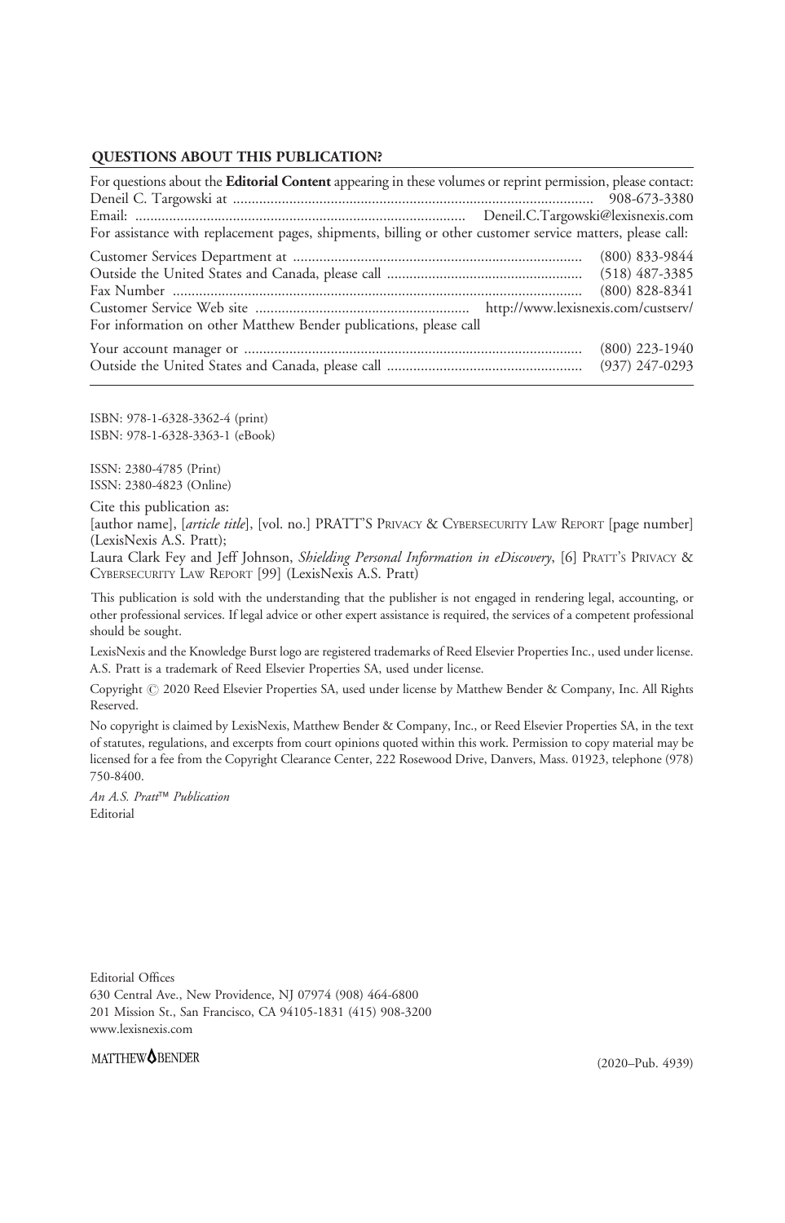#### QUESTIONS ABOUT THIS PUBLICATION?

| For questions about the Editorial Content appearing in these volumes or reprint permission, please contact: |                  |  |
|-------------------------------------------------------------------------------------------------------------|------------------|--|
|                                                                                                             |                  |  |
|                                                                                                             |                  |  |
| For assistance with replacement pages, shipments, billing or other customer service matters, please call:   |                  |  |
|                                                                                                             |                  |  |
|                                                                                                             |                  |  |
|                                                                                                             | $(800)$ 828-8341 |  |
|                                                                                                             |                  |  |
| For information on other Matthew Bender publications, please call                                           |                  |  |
|                                                                                                             |                  |  |
|                                                                                                             |                  |  |

ISBN: 978-1-6328-3362-4 (print) ISBN: 978-1-6328-3363-1 (eBook)

ISSN: 2380-4785 (Print) ISSN: 2380-4823 (Online)

Cite this publication as:

[author name], [article title], [vol. no.] PRATT'S PRIVACY & CYBERSECURITY LAW REPORT [page number] (LexisNexis A.S. Pratt);

Laura Clark Fey and Jeff Johnson, Shielding Personal Information in eDiscovery, [6] PRATT's PRIVACY & CYBERSECURITY LAW REPORT [99] (LexisNexis A.S. Pratt)

This publication is sold with the understanding that the publisher is not engaged in rendering legal, accounting, or other professional services. If legal advice or other expert assistance is required, the services of a competent professional should be sought.

LexisNexis and the Knowledge Burst logo are registered trademarks of Reed Elsevier Properties Inc., used under license. A.S. Pratt is a trademark of Reed Elsevier Properties SA, used under license.

Copyright  $@$  2020 Reed Elsevier Properties SA, used under license by Matthew Bender & Company, Inc. All Rights Reserved.

No copyright is claimed by LexisNexis, Matthew Bender & Company, Inc., or Reed Elsevier Properties SA, in the text of statutes, regulations, and excerpts from court opinions quoted within this work. Permission to copy material may be licensed for a fee from the Copyright Clearance Center, 222 Rosewood Drive, Danvers, Mass. 01923, telephone (978) 750-8400.

An A.S. Pratt™ Publication Editorial

Editorial Offices 630 Central Ave., New Providence, NJ 07974 (908) 464-6800 201 Mission St., San Francisco, CA 94105-1831 (415) 908-3200 <www.lexisnexis.com>

#### MATTHEW<sup>O</sup>BENDER

(2020–Pub. 4939)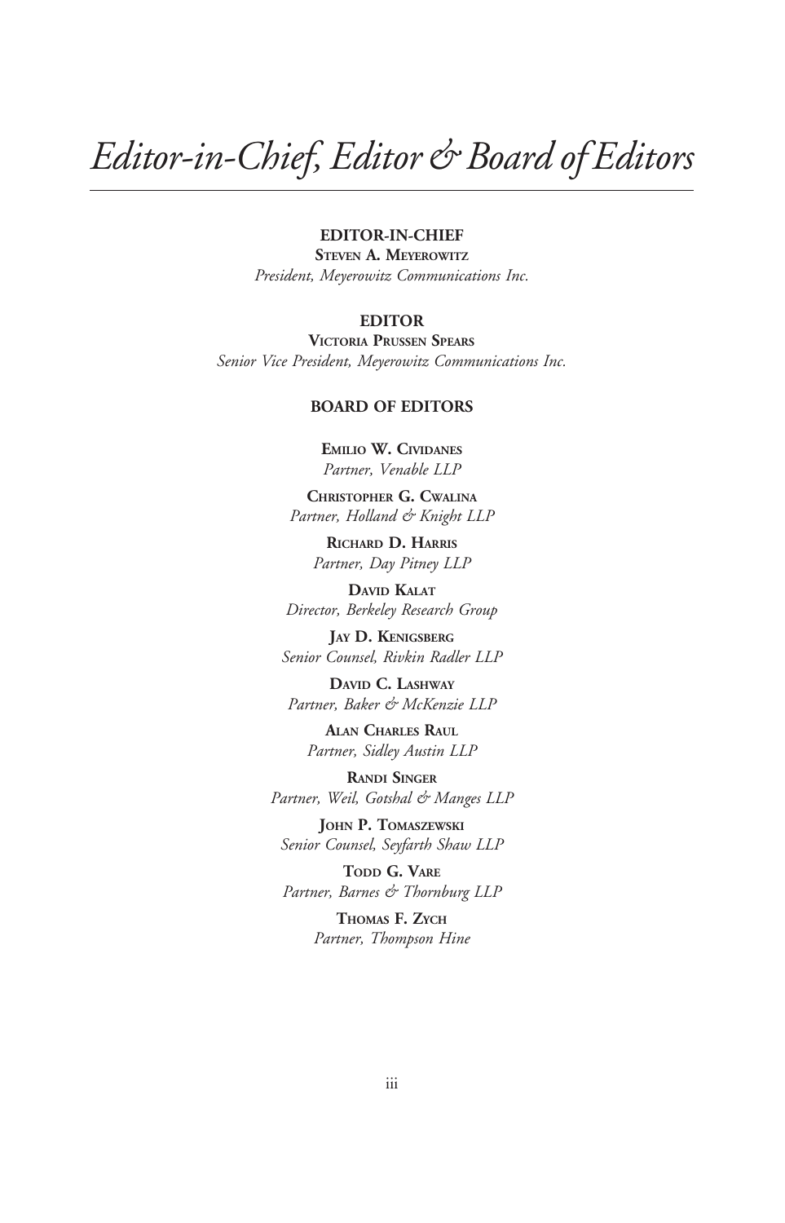### Editor-in-Chief, Editor & Board of Editors

#### EDITOR-IN-CHIEF

STEVEN A. MEYEROWITZ President, Meyerowitz Communications Inc.

#### EDITOR

VICTORIA PRUSSEN SPEARS Senior Vice President, Meyerowitz Communications Inc.

#### BOARD OF EDITORS

EMILIO W. CIVIDANES Partner, Venable LLP

CHRISTOPHER G. CWALINA Partner, Holland & Knight LLP

> RICHARD D. HARRIS Partner, Day Pitney LLP

DAVID KALAT Director, Berkeley Research Group

JAY D. KENIGSBERG Senior Counsel, Rivkin Radler LLP

DAVID C. LASHWAY Partner, Baker & McKenzie LLP

ALAN CHARLES RAUL Partner, Sidley Austin LLP

RANDI SINGER Partner, Weil, Gotshal & Manges LLP

JOHN P. TOMASZEWSKI Senior Counsel, Seyfarth Shaw LLP

TODD G. VARE Partner, Barnes & Thornburg LLP

> THOMAS F. ZYCH Partner, Thompson Hine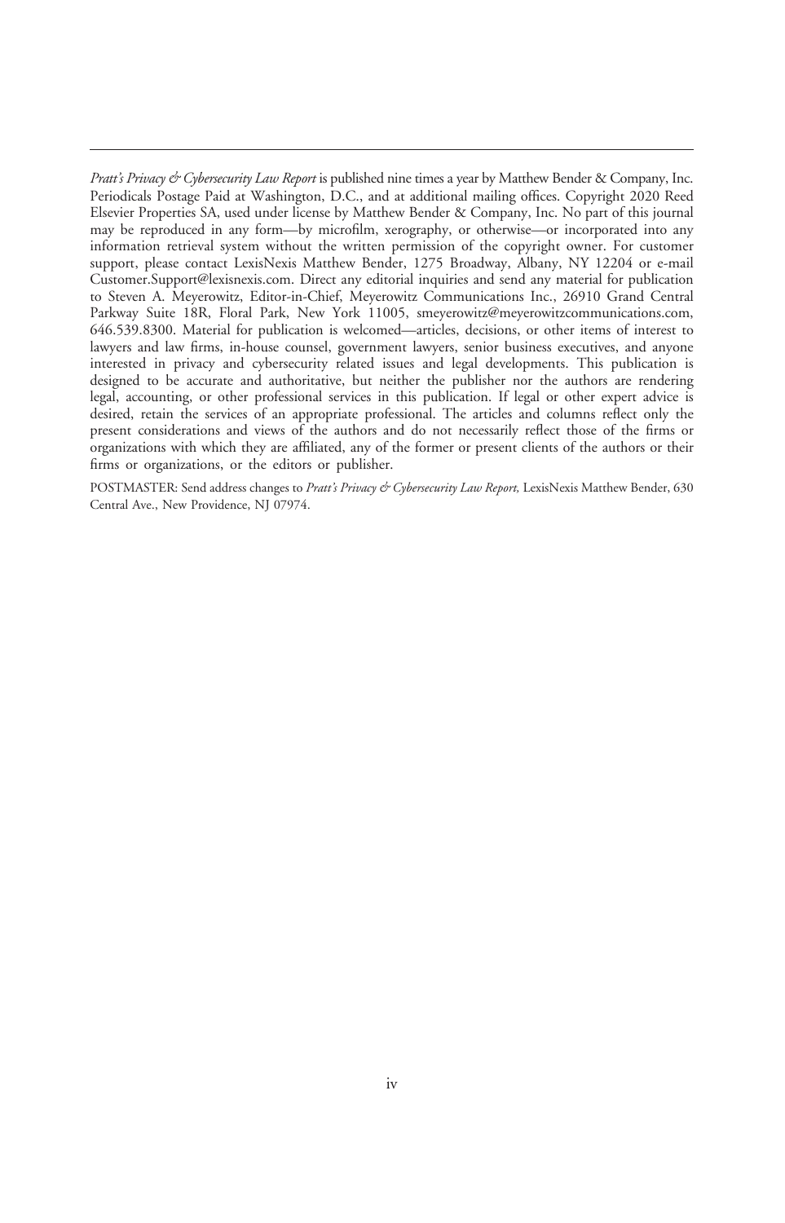Pratt's Privacy & Cybersecurity Law Report is published nine times a year by Matthew Bender & Company, Inc. Periodicals Postage Paid at Washington, D.C., and at additional mailing offices. Copyright 2020 Reed Elsevier Properties SA, used under license by Matthew Bender & Company, Inc. No part of this journal may be reproduced in any form—by microfilm, xerography, or otherwise—or incorporated into any information retrieval system without the written permission of the copyright owner. For customer support, please contact LexisNexis Matthew Bender, 1275 Broadway, Albany, NY 12204 or e-mail [Customer.Support@lexisnexis.com](mailto:Customer.Support@lexisnexis.com). Direct any editorial inquiries and send any material for publication to Steven A. Meyerowitz, Editor-in-Chief, Meyerowitz Communications Inc., 26910 Grand Central Parkway Suite 18R, Floral Park, New York 11005, [smeyerowitz@meyerowitzcommunications.com](mailto:smeyerowitz@meyerowitzcommunications.com), 646.539.8300. Material for publication is welcomed—articles, decisions, or other items of interest to lawyers and law firms, in-house counsel, government lawyers, senior business executives, and anyone interested in privacy and cybersecurity related issues and legal developments. This publication is designed to be accurate and authoritative, but neither the publisher nor the authors are rendering legal, accounting, or other professional services in this publication. If legal or other expert advice is desired, retain the services of an appropriate professional. The articles and columns reflect only the present considerations and views of the authors and do not necessarily reflect those of the firms or organizations with which they are affiliated, any of the former or present clients of the authors or their firms or organizations, or the editors or publisher.

POSTMASTER: Send address changes to Pratt's Privacy & Cybersecurity Law Report, LexisNexis Matthew Bender, 630 Central Ave., New Providence, NJ 07974.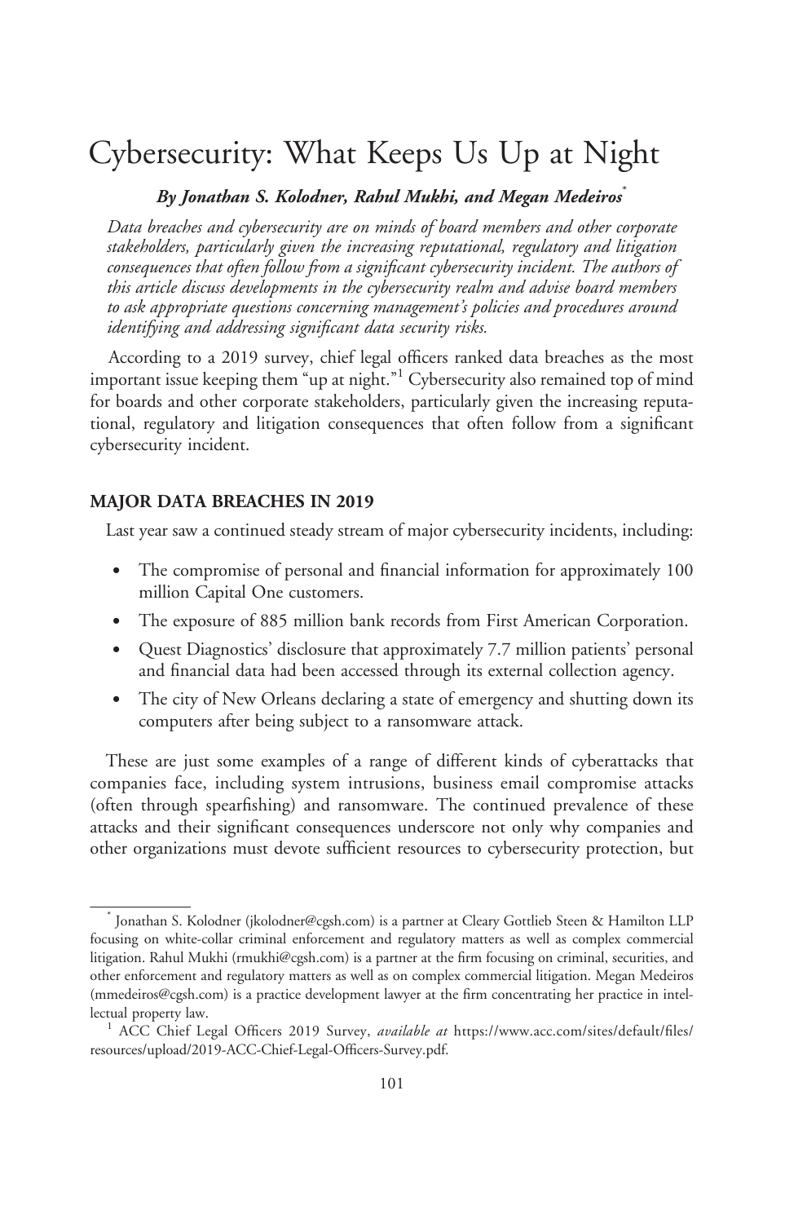### Cybersecurity: What Keeps Us Up at Night

#### By Jonathan S. Kolodner, Rahul Mukhi, and Megan Medeiros

Data breaches and cybersecurity are on minds of board members and other corporate stakeholders, particularly given the increasing reputational, regulatory and litigation consequences that often follow from a significant cybersecurity incident. The authors of this article discuss developments in the cybersecurity realm and advise board members to ask appropriate questions concerning management's policies and procedures around identifying and addressing significant data security risks.

According to a 2019 survey, chief legal officers ranked data breaches as the most important issue keeping them "up at night."<sup>1</sup> Cybersecurity also remained top of mind for boards and other corporate stakeholders, particularly given the increasing reputational, regulatory and litigation consequences that often follow from a significant cybersecurity incident.

#### MAJOR DATA BREACHES IN 2019

Last year saw a continued steady stream of major cybersecurity incidents, including:

- $\bullet$  The compromise of personal and financial information for approximately 100 million Capital One customers.
- The exposure of 885 million bank records from First American Corporation.
- $\bullet$  Quest Diagnostics' disclosure that approximately 7.7 million patients' personal and financial data had been accessed through its external collection agency.
- $\bullet$  The city of New Orleans declaring a state of emergency and shutting down its computers after being subject to a ransomware attack.

These are just some examples of a range of different kinds of cyberattacks that companies face, including system intrusions, business email compromise attacks (often through spearfishing) and ransomware. The continued prevalence of these attacks and their significant consequences underscore not only why companies and other organizations must devote sufficient resources to cybersecurity protection, but

Jonathan S. Kolodner ([jkolodner@cgsh.com\)](mailto:jkolodner@cgsh.com) is a partner at Cleary Gottlieb Steen & Hamilton LLP focusing on white-collar criminal enforcement and regulatory matters as well as complex commercial litigation. Rahul Mukhi ([rmukhi@cgsh.com\)](mailto:rmukhi@cgsh.com) is a partner at the firm focusing on criminal, securities, and other enforcement and regulatory matters as well as on complex commercial litigation. Megan Medeiros ([mmedeiros@cgsh.com\)](mailto:mmedeiros@cgsh.com) is a practice development lawyer at the firm concentrating her practice in intellectual property law.<br><sup>1</sup> ACC Chief Legal Officers 2019 Survey, *available at* [https://www.acc.com/sites/default/files/](https://www.acc.com/sites/default/files/resources/upload/2019-ACC-Chief-Legal-Officers-Survey.pdf)

[resources/upload/2019-ACC-Chief-Legal-Officers-Survey.pdf.](https://www.acc.com/sites/default/files/resources/upload/2019-ACC-Chief-Legal-Officers-Survey.pdf)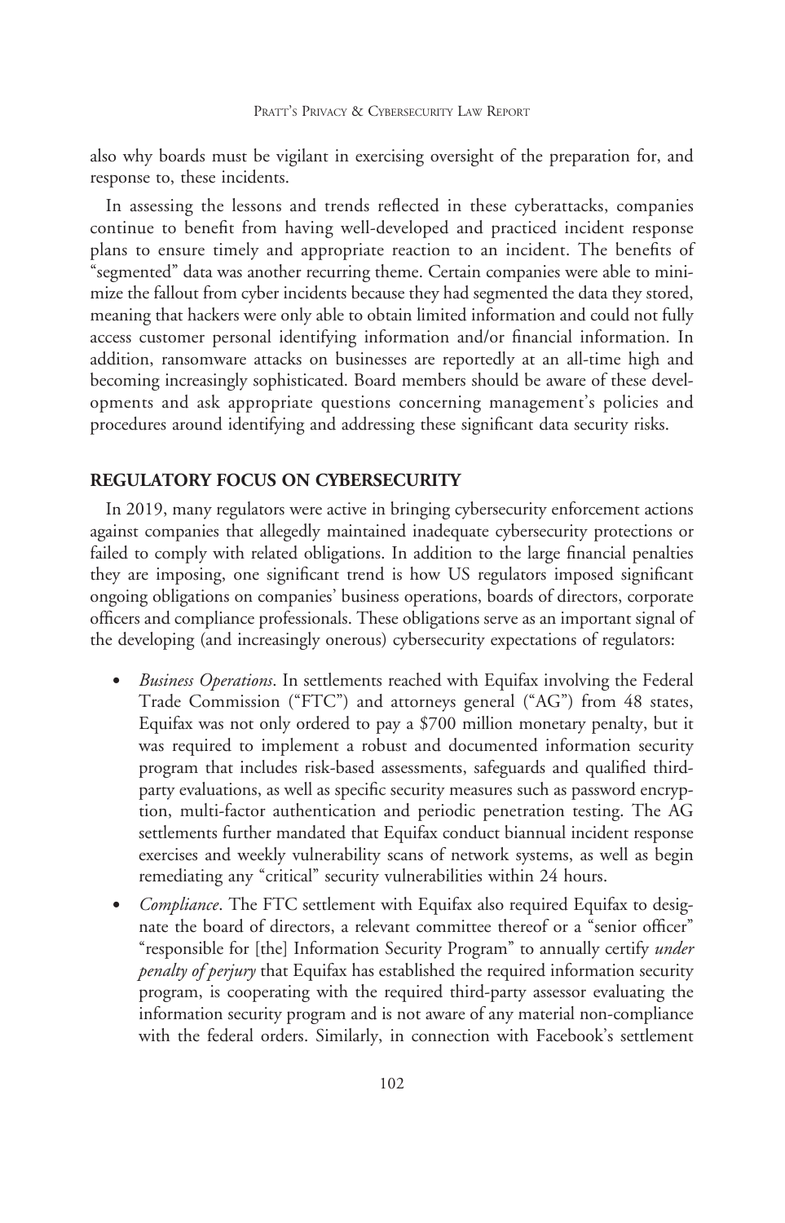also why boards must be vigilant in exercising oversight of the preparation for, and response to, these incidents.

In assessing the lessons and trends reflected in these cyberattacks, companies continue to benefit from having well-developed and practiced incident response plans to ensure timely and appropriate reaction to an incident. The benefits of ''segmented'' data was another recurring theme. Certain companies were able to minimize the fallout from cyber incidents because they had segmented the data they stored, meaning that hackers were only able to obtain limited information and could not fully access customer personal identifying information and/or financial information. In addition, ransomware attacks on businesses are reportedly at an all-time high and becoming increasingly sophisticated. Board members should be aware of these developments and ask appropriate questions concerning management's policies and procedures around identifying and addressing these significant data security risks.

#### REGULATORY FOCUS ON CYBERSECURITY

In 2019, many regulators were active in bringing cybersecurity enforcement actions against companies that allegedly maintained inadequate cybersecurity protections or failed to comply with related obligations. In addition to the large financial penalties they are imposing, one significant trend is how US regulators imposed significant ongoing obligations on companies' business operations, boards of directors, corporate officers and compliance professionals. These obligations serve as an important signal of the developing (and increasingly onerous) cybersecurity expectations of regulators:

- $\bullet$ Business Operations. In settlements reached with Equifax involving the Federal Trade Commission ("FTC") and attorneys general ("AG") from 48 states, Equifax was not only ordered to pay a \$700 million monetary penalty, but it was required to implement a robust and documented information security program that includes risk-based assessments, safeguards and qualified thirdparty evaluations, as well as specific security measures such as password encryption, multi-factor authentication and periodic penetration testing. The AG settlements further mandated that Equifax conduct biannual incident response exercises and weekly vulnerability scans of network systems, as well as begin remediating any "critical" security vulnerabilities within 24 hours.
- $\bullet$ Compliance. The FTC settlement with Equifax also required Equifax to designate the board of directors, a relevant committee thereof or a "senior officer" "responsible for [the] Information Security Program" to annually certify *under* penalty of perjury that Equifax has established the required information security program, is cooperating with the required third-party assessor evaluating the information security program and is not aware of any material non-compliance with the federal orders. Similarly, in connection with Facebook's settlement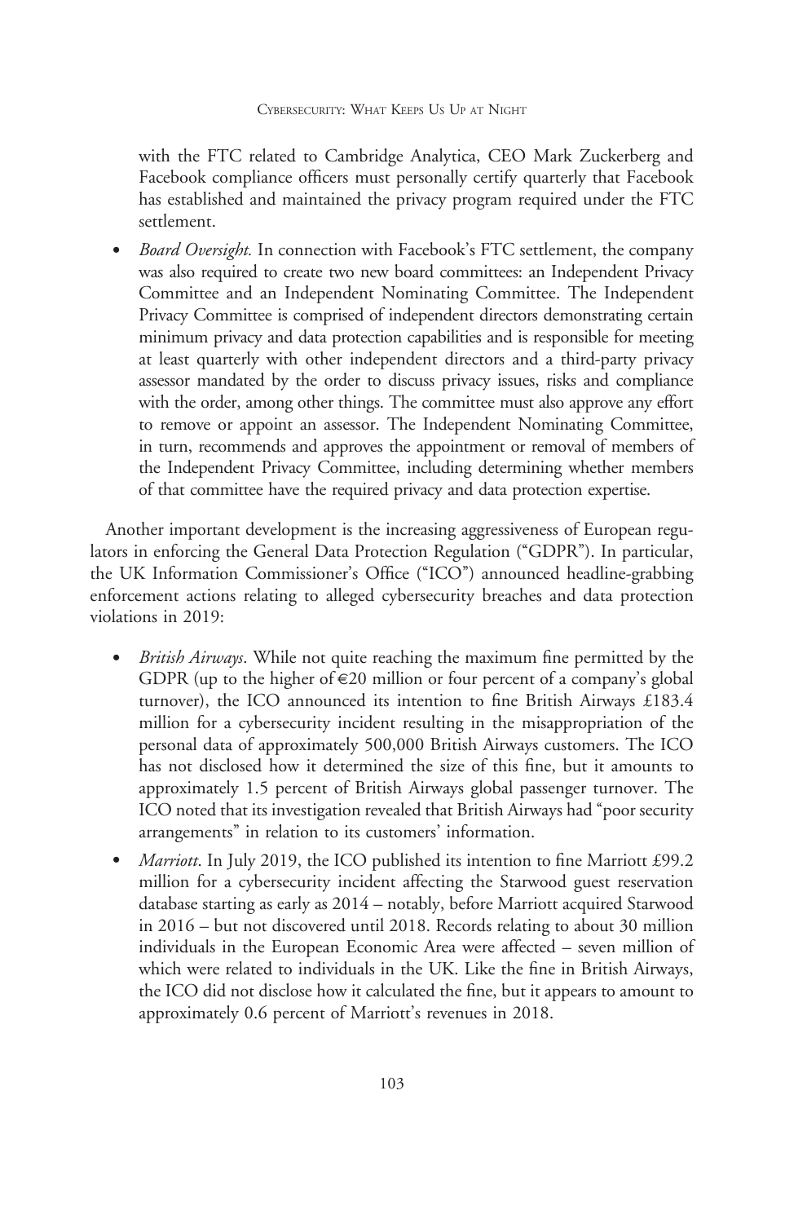with the FTC related to Cambridge Analytica, CEO Mark Zuckerberg and Facebook compliance officers must personally certify quarterly that Facebook has established and maintained the privacy program required under the FTC settlement.

 $\bullet$ Board Oversight. In connection with Facebook's FTC settlement, the company was also required to create two new board committees: an Independent Privacy Committee and an Independent Nominating Committee. The Independent Privacy Committee is comprised of independent directors demonstrating certain minimum privacy and data protection capabilities and is responsible for meeting at least quarterly with other independent directors and a third-party privacy assessor mandated by the order to discuss privacy issues, risks and compliance with the order, among other things. The committee must also approve any effort to remove or appoint an assessor. The Independent Nominating Committee, in turn, recommends and approves the appointment or removal of members of the Independent Privacy Committee, including determining whether members of that committee have the required privacy and data protection expertise.

Another important development is the increasing aggressiveness of European regulators in enforcing the General Data Protection Regulation (''GDPR''). In particular, the UK Information Commissioner's Office (''ICO'') announced headline-grabbing enforcement actions relating to alleged cybersecurity breaches and data protection violations in 2019:

- *British Airways*. While not quite reaching the maximum fine permitted by the GDPR (up to the higher of  $\epsilon$ 20 million or four percent of a company's global turnover), the ICO announced its intention to fine British Airways £183.4 million for a cybersecurity incident resulting in the misappropriation of the personal data of approximately 500,000 British Airways customers. The ICO has not disclosed how it determined the size of this fine, but it amounts to approximately 1.5 percent of British Airways global passenger turnover. The ICO noted that its investigation revealed that British Airways had ''poor security arrangements'' in relation to its customers' information.
- $\bullet$ Marriott. In July 2019, the ICO published its intention to fine Marriott £99.2 million for a cybersecurity incident affecting the Starwood guest reservation database starting as early as 2014 – notably, before Marriott acquired Starwood in 2016 – but not discovered until 2018. Records relating to about 30 million individuals in the European Economic Area were affected – seven million of which were related to individuals in the UK. Like the fine in British Airways, the ICO did not disclose how it calculated the fine, but it appears to amount to approximately 0.6 percent of Marriott's revenues in 2018.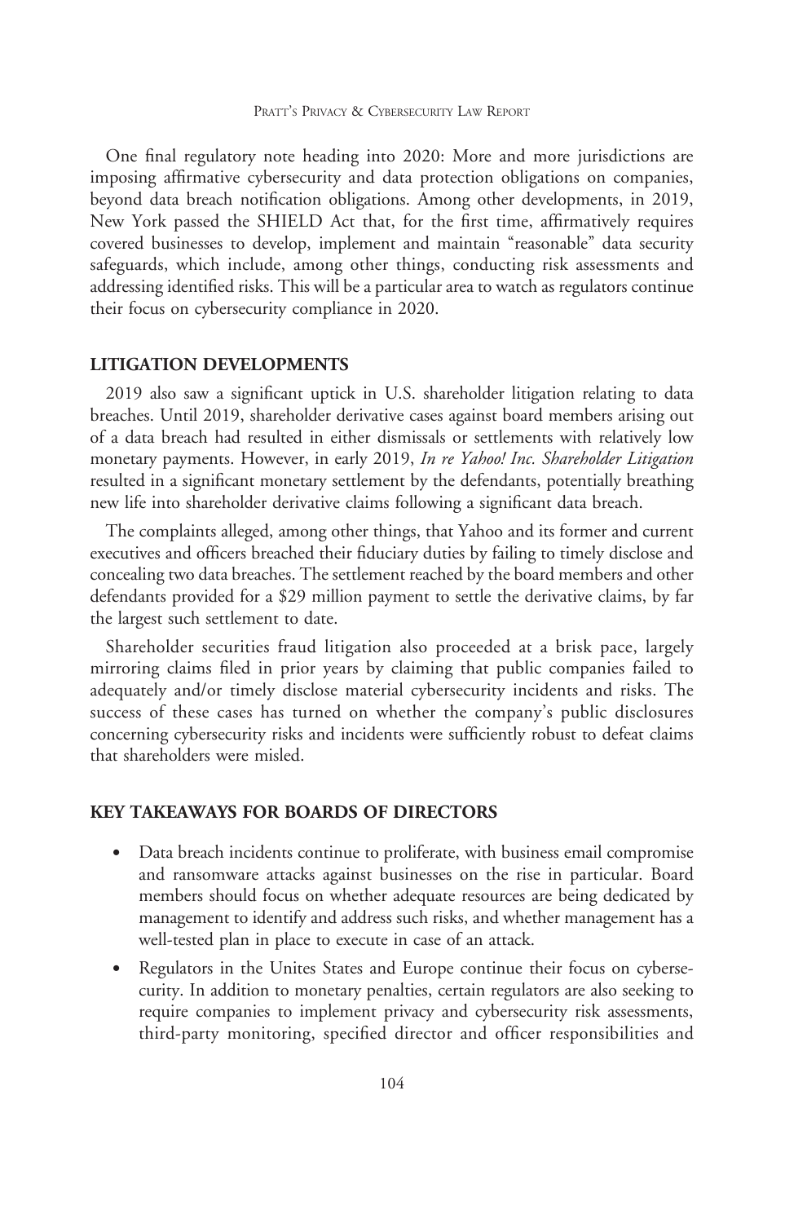One final regulatory note heading into 2020: More and more jurisdictions are imposing affirmative cybersecurity and data protection obligations on companies, beyond data breach notification obligations. Among other developments, in 2019, New York passed the SHIELD Act that, for the first time, affirmatively requires covered businesses to develop, implement and maintain ''reasonable'' data security safeguards, which include, among other things, conducting risk assessments and addressing identified risks. This will be a particular area to watch as regulators continue their focus on cybersecurity compliance in 2020.

#### LITIGATION DEVELOPMENTS

2019 also saw a significant uptick in U.S. shareholder litigation relating to data breaches. Until 2019, shareholder derivative cases against board members arising out of a data breach had resulted in either dismissals or settlements with relatively low monetary payments. However, in early 2019, In re Yahoo! Inc. Shareholder Litigation resulted in a significant monetary settlement by the defendants, potentially breathing new life into shareholder derivative claims following a significant data breach.

The complaints alleged, among other things, that Yahoo and its former and current executives and officers breached their fiduciary duties by failing to timely disclose and concealing two data breaches. The settlement reached by the board members and other defendants provided for a \$29 million payment to settle the derivative claims, by far the largest such settlement to date.

Shareholder securities fraud litigation also proceeded at a brisk pace, largely mirroring claims filed in prior years by claiming that public companies failed to adequately and/or timely disclose material cybersecurity incidents and risks. The success of these cases has turned on whether the company's public disclosures concerning cybersecurity risks and incidents were sufficiently robust to defeat claims that shareholders were misled.

#### KEY TAKEAWAYS FOR BOARDS OF DIRECTORS

- $\bullet$  Data breach incidents continue to proliferate, with business email compromise and ransomware attacks against businesses on the rise in particular. Board members should focus on whether adequate resources are being dedicated by management to identify and address such risks, and whether management has a well-tested plan in place to execute in case of an attack.
- $\bullet$  Regulators in the Unites States and Europe continue their focus on cybersecurity. In addition to monetary penalties, certain regulators are also seeking to require companies to implement privacy and cybersecurity risk assessments, third-party monitoring, specified director and officer responsibilities and